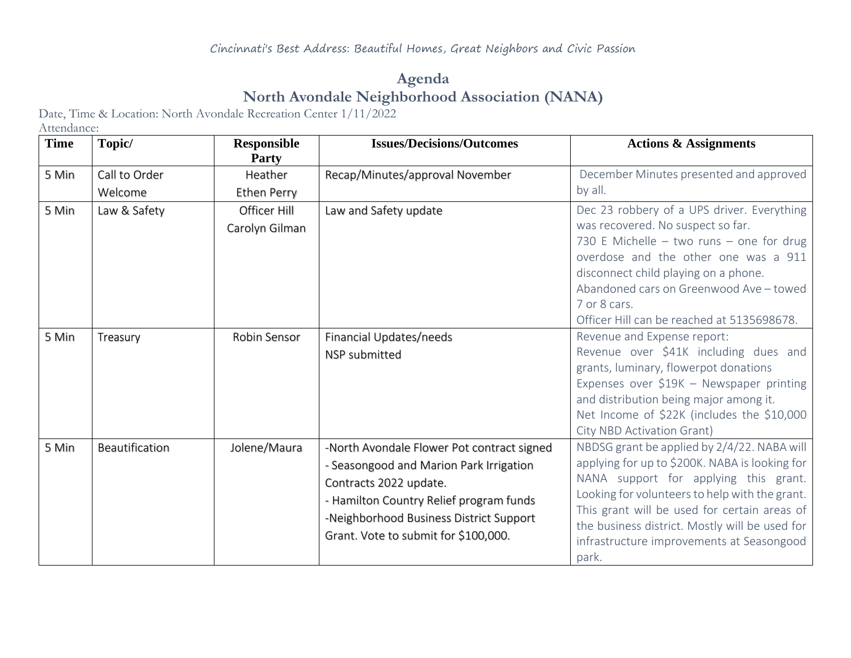## **Agenda North Avondale Neighborhood Association (NANA)**

Date, Time & Location: North Avondale Recreation Center 1/11/2022

Attendance:

| <b>Time</b> | Topic/         | <b>Responsible</b><br><b>Party</b> | <b>Issues/Decisions/Outcomes</b>                                                                                                                                                                                                              | <b>Actions &amp; Assignments</b>                                                                                                                                                                                                                                                                                                                 |
|-------------|----------------|------------------------------------|-----------------------------------------------------------------------------------------------------------------------------------------------------------------------------------------------------------------------------------------------|--------------------------------------------------------------------------------------------------------------------------------------------------------------------------------------------------------------------------------------------------------------------------------------------------------------------------------------------------|
| 5 Min       | Call to Order  | Heather                            | Recap/Minutes/approval November                                                                                                                                                                                                               | December Minutes presented and approved                                                                                                                                                                                                                                                                                                          |
|             | Welcome        | <b>Ethen Perry</b>                 |                                                                                                                                                                                                                                               | by all.                                                                                                                                                                                                                                                                                                                                          |
| 5 Min       | Law & Safety   | Officer Hill<br>Carolyn Gilman     | Law and Safety update                                                                                                                                                                                                                         | Dec 23 robbery of a UPS driver. Everything<br>was recovered. No suspect so far.<br>730 E Michelle $-$ two runs $-$ one for drug<br>overdose and the other one was a 911<br>disconnect child playing on a phone.<br>Abandoned cars on Greenwood Ave - towed<br>7 or 8 cars.<br>Officer Hill can be reached at 5135698678.                         |
| 5 Min       | Treasury       | Robin Sensor                       | Financial Updates/needs<br>NSP submitted                                                                                                                                                                                                      | Revenue and Expense report:<br>Revenue over \$41K including dues and<br>grants, luminary, flowerpot donations<br>Expenses over \$19K - Newspaper printing<br>and distribution being major among it.<br>Net Income of \$22K (includes the \$10,000<br>City NBD Activation Grant)                                                                  |
| 5 Min       | Beautification | Jolene/Maura                       | -North Avondale Flower Pot contract signed<br>- Seasongood and Marion Park Irrigation<br>Contracts 2022 update.<br>- Hamilton Country Relief program funds<br>-Neighborhood Business District Support<br>Grant. Vote to submit for \$100,000. | NBDSG grant be applied by 2/4/22. NABA will<br>applying for up to \$200K. NABA is looking for<br>NANA support for applying this grant.<br>Looking for volunteers to help with the grant.<br>This grant will be used for certain areas of<br>the business district. Mostly will be used for<br>infrastructure improvements at Seasongood<br>park. |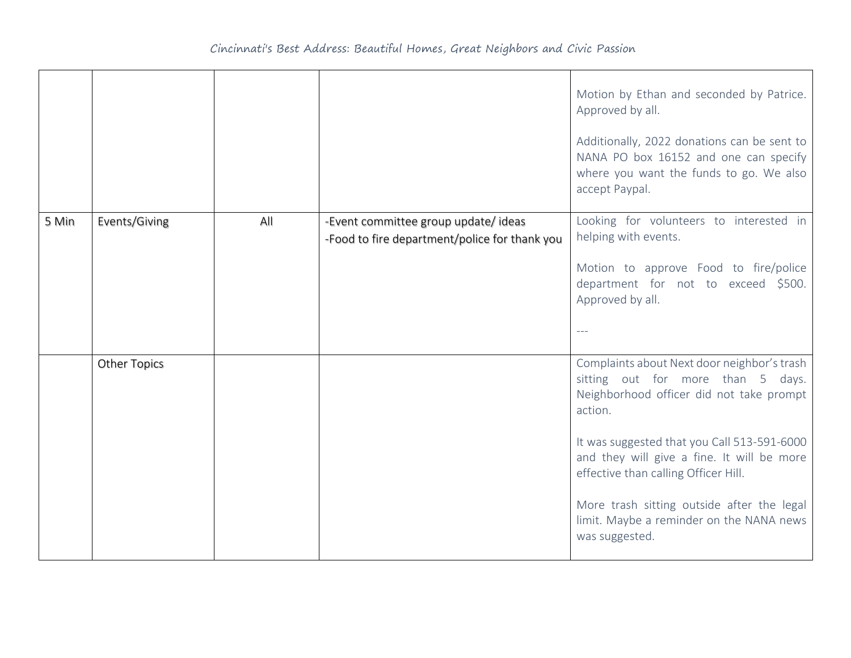|       |                     |     |                                                                                      | Motion by Ethan and seconded by Patrice.<br>Approved by all.<br>Additionally, 2022 donations can be sent to<br>NANA PO box 16152 and one can specify<br>where you want the funds to go. We also<br>accept Paypal. |
|-------|---------------------|-----|--------------------------------------------------------------------------------------|-------------------------------------------------------------------------------------------------------------------------------------------------------------------------------------------------------------------|
| 5 Min | Events/Giving       | All | -Event committee group update/ideas<br>-Food to fire department/police for thank you | Looking for volunteers to interested in<br>helping with events.                                                                                                                                                   |
|       |                     |     |                                                                                      | Motion to approve Food to fire/police<br>department for not to exceed \$500.<br>Approved by all.                                                                                                                  |
|       |                     |     |                                                                                      |                                                                                                                                                                                                                   |
|       | <b>Other Topics</b> |     |                                                                                      | Complaints about Next door neighbor's trash<br>sitting out for more than 5 days.<br>Neighborhood officer did not take prompt<br>action.                                                                           |
|       |                     |     |                                                                                      | It was suggested that you Call 513-591-6000<br>and they will give a fine. It will be more<br>effective than calling Officer Hill.                                                                                 |
|       |                     |     |                                                                                      | More trash sitting outside after the legal<br>limit. Maybe a reminder on the NANA news<br>was suggested.                                                                                                          |